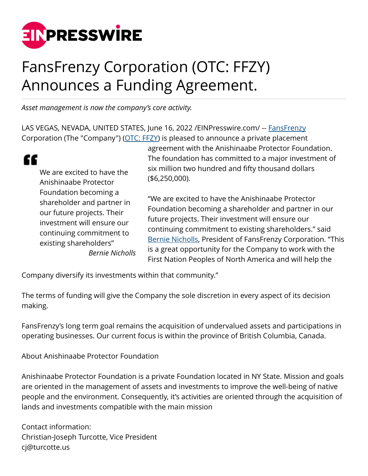

## FansFrenzy Corporation (OTC: FFZY) Announces a Funding Agreement.

*Asset management is now the company's core activity.*

LAS VEGAS, NEVADA, UNITED STATES, June 16, 2022 / EINPresswire.com/ -- [FansFrenzy](http://www.fansfrenzy.com/index.php/en/) Corporation (The "Company") ([OTC: FFZY\)](http://www.fansfrenzy.com/index.php/en/) is pleased to announce a private placement

| We are excited to have the |
|----------------------------|
| Anishinaabe Protector      |
| Foundation becoming a      |
| shareholder and partner in |
| our future projects. Their |
| investment will ensure our |
| continuing commitment to   |
| existing shareholders"     |
| <b>Bernie Nicholls</b>     |

c

agreement with the Anishinaabe Protector Foundation. The foundation has committed to a major investment of six million two hundred and fifty thousand dollars (\$6,250,000).

"We are excited to have the Anishinaabe Protector Foundation becoming a shareholder and partner in our future projects. Their investment will ensure our continuing commitment to existing shareholders." said [Bernie Nicholls,](http://www.fansfrenzy.com/index.php/en/) President of FansFrenzy Corporation. "This is a great opportunity for the Company to work with the First Nation Peoples of North America and will help the

Company diversify its investments within that community."

The terms of funding will give the Company the sole discretion in every aspect of its decision making.

FansFrenzy's long term goal remains the acquisition of undervalued assets and participations in operating businesses. Our current focus is within the province of British Columbia, Canada.

About Anishinaabe Protector Foundation

Anishinaabe Protector Foundation is a private Foundation located in NY State. Mission and goals are oriented in the management of assets and investments to improve the well-being of native people and the environment. Consequently, it's activities are oriented through the acquisition of lands and investments compatible with the main mission

Contact information: Christian-Joseph Turcotte, Vice President cj@turcotte.us